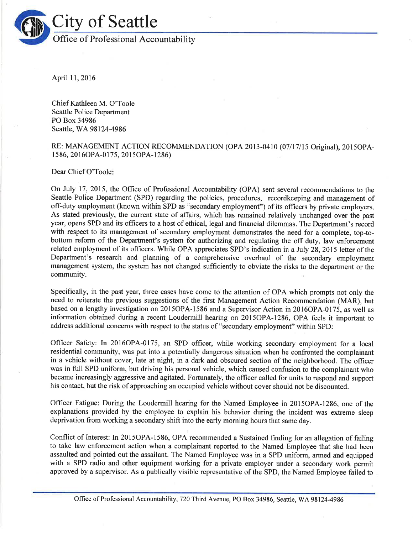

April I1,2016

Chief Kathleen M. O'Toole Seattle Police Department PO Box 34986 Seattle, WA98124-4986

## RE: MANAGEMENT ACTION RECOMMENDATION (OPA 2013-0410 (07117115 Orìginal), 2015OPA-I 586, 20l60PA-0175, 20l50PA-1286)

Dear Chief O'Toole

On July 17,2015, the Office of Professional Accountability (OPA) sent several recommendations to the Seattle Police Department (SPD) regarding the policies, procedures, recordkeeping and management of off-duty employment (known within SPD as "secondary employment") of its officers by private employers. As stated previously, the current state of affairs, which has remained relatively unchanged over the past year, opens SPD and its officers to a host of ethical, legal and fìnancial dilemmas. The Department's record with respect to its management of secondary employment demonstrates the need for a complete, top-tobottom reform of the Department's system for authorizing and regulating the off duty, law enforcement related employment of its officers. While OPA appreciates SPD's indication in a July 28, 2015 letter of the Department's research and planning of a comprehensive overhaul of the secondary employment management system, the system has not changed sufficiently to obviate the risks to the department or the community.

Specifically, in the past year, three cases have come to the attention of OPA which prompts not only the need to reiterate the previous suggestions of the first Management Action Recommendation (MAR), but based on a lengthy investigation on 2015OPA-1586 and a Supervisor Action in 20l6OPA-0175, as well as information obtained during a recent Loudermill hearing on 2015OPA-1286, OPA feels it important to address additional concerns with respect to the status of "secondary employment" within SPD:

Officer Safety: In 2016OPA-0175, an SPD officer, while working secondary employment for a local residential community, was put into a potentially dangerous situation when he confronted the complainant in a vehicle without cover, late at night, in a dark and obscured section of the neighborhood. The officer was in full SPD uniform, but driving his personal vehicle, which caused confusion to the complainant who became increasingly aggressive and agitated. Fortunately, the officer called for units to respond and support his contact, but the risk of approaching an occupied vehicle without cover should not be discounted.

Officer Fatigue: During the Loudermill hearing for the Named Employee in 20I5OPA-1286, one of the explanations provided by the employee to explain his behavior during the incident was extreme sleep deprivation from working a secondary shift into the early morning hours that same day.

Conflict of Interest: In 20l5OPA-1586, OPA recommended a Sustained finding for an allegation of failing to take law enforcement action when a complainant reported to the Named Employee that she had been assaulted and pointed out the assailant. The Named Employee was in a SPD uniform, armed and equipped with a SPD radio and other equipment working for a private employer under a secondary work permit approved by a supervisor. As a publically visible representative of the SPD, the Named Employee failed to